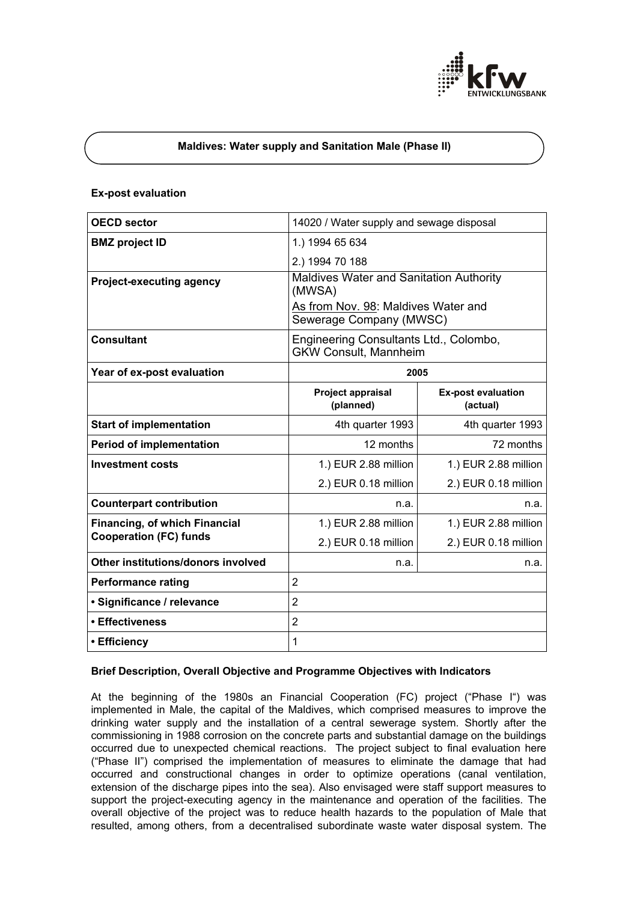

### **Maldives: Water supply and Sanitation Male (Phase II)**

#### **Ex-post evaluation**

| <b>OECD sector</b>                                                    | 14020 / Water supply and sewage disposal                               |                                       |
|-----------------------------------------------------------------------|------------------------------------------------------------------------|---------------------------------------|
| <b>BMZ</b> project ID                                                 | 1.) 1994 65 634                                                        |                                       |
|                                                                       | 2.) 1994 70 188                                                        |                                       |
| <b>Project-executing agency</b>                                       | <b>Maldives Water and Sanitation Authority</b><br>(MWSA)               |                                       |
|                                                                       | As from Nov. 98: Maldives Water and<br>Sewerage Company (MWSC)         |                                       |
| <b>Consultant</b>                                                     | Engineering Consultants Ltd., Colombo,<br><b>GKW Consult, Mannheim</b> |                                       |
| Year of ex-post evaluation                                            | 2005                                                                   |                                       |
|                                                                       | Project appraisal<br>(planned)                                         | <b>Ex-post evaluation</b><br>(actual) |
| <b>Start of implementation</b>                                        | 4th quarter 1993                                                       | 4th quarter 1993                      |
| <b>Period of implementation</b>                                       | 12 months                                                              | 72 months                             |
| <b>Investment costs</b>                                               | 1.) EUR 2.88 million                                                   | 1.) EUR 2.88 million                  |
|                                                                       | 2.) EUR 0.18 million                                                   | 2.) EUR 0.18 million                  |
| <b>Counterpart contribution</b>                                       | n.a.                                                                   | n.a.                                  |
| <b>Financing, of which Financial</b><br><b>Cooperation (FC) funds</b> | 1.) EUR 2.88 million                                                   | 1.) EUR 2.88 million                  |
|                                                                       | 2.) EUR 0.18 million                                                   | 2.) EUR 0.18 million                  |
| Other institutions/donors involved                                    | n.a.                                                                   | n.a.                                  |
| <b>Performance rating</b>                                             | $\overline{2}$                                                         |                                       |
| · Significance / relevance                                            | $\overline{2}$                                                         |                                       |
| • Effectiveness                                                       | $\overline{2}$                                                         |                                       |
| • Efficiency                                                          | 1                                                                      |                                       |

### **Brief Description, Overall Objective and Programme Objectives with Indicators**

At the beginning of the 1980s an Financial Cooperation (FC) project ("Phase I") was implemented in Male, the capital of the Maldives, which comprised measures to improve the drinking water supply and the installation of a central sewerage system. Shortly after the commissioning in 1988 corrosion on the concrete parts and substantial damage on the buildings occurred due to unexpected chemical reactions. The project subject to final evaluation here ("Phase II") comprised the implementation of measures to eliminate the damage that had occurred and constructional changes in order to optimize operations (canal ventilation, extension of the discharge pipes into the sea). Also envisaged were staff support measures to support the project-executing agency in the maintenance and operation of the facilities. The overall objective of the project was to reduce health hazards to the population of Male that resulted, among others, from a decentralised subordinate waste water disposal system. The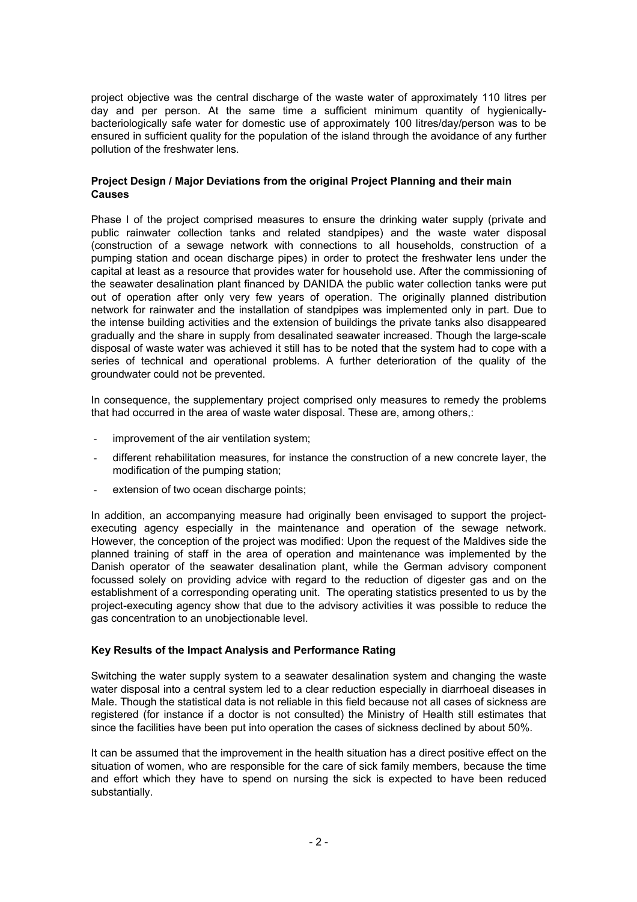project objective was the central discharge of the waste water of approximately 110 litres per day and per person. At the same time a sufficient minimum quantity of hygienicallybacteriologically safe water for domestic use of approximately 100 litres/day/person was to be ensured in sufficient quality for the population of the island through the avoidance of any further pollution of the freshwater lens.

### **Project Design / Major Deviations from the original Project Planning and their main Causes**

Phase I of the project comprised measures to ensure the drinking water supply (private and public rainwater collection tanks and related standpipes) and the waste water disposal (construction of a sewage network with connections to all households, construction of a pumping station and ocean discharge pipes) in order to protect the freshwater lens under the capital at least as a resource that provides water for household use. After the commissioning of the seawater desalination plant financed by DANIDA the public water collection tanks were put out of operation after only very few years of operation. The originally planned distribution network for rainwater and the installation of standpipes was implemented only in part. Due to the intense building activities and the extension of buildings the private tanks also disappeared gradually and the share in supply from desalinated seawater increased. Though the large-scale disposal of waste water was achieved it still has to be noted that the system had to cope with a series of technical and operational problems. A further deterioration of the quality of the groundwater could not be prevented.

In consequence, the supplementary project comprised only measures to remedy the problems that had occurred in the area of waste water disposal. These are, among others,:

- improvement of the air ventilation system;
- different rehabilitation measures, for instance the construction of a new concrete layer, the modification of the pumping station;
- extension of two ocean discharge points:

In addition, an accompanying measure had originally been envisaged to support the projectexecuting agency especially in the maintenance and operation of the sewage network. However, the conception of the project was modified: Upon the request of the Maldives side the planned training of staff in the area of operation and maintenance was implemented by the Danish operator of the seawater desalination plant, while the German advisory component focussed solely on providing advice with regard to the reduction of digester gas and on the establishment of a corresponding operating unit. The operating statistics presented to us by the project-executing agency show that due to the advisory activities it was possible to reduce the gas concentration to an unobjectionable level.

## **Key Results of the Impact Analysis and Performance Rating**

Switching the water supply system to a seawater desalination system and changing the waste water disposal into a central system led to a clear reduction especially in diarrhoeal diseases in Male. Though the statistical data is not reliable in this field because not all cases of sickness are registered (for instance if a doctor is not consulted) the Ministry of Health still estimates that since the facilities have been put into operation the cases of sickness declined by about 50%.

It can be assumed that the improvement in the health situation has a direct positive effect on the situation of women, who are responsible for the care of sick family members, because the time and effort which they have to spend on nursing the sick is expected to have been reduced substantially.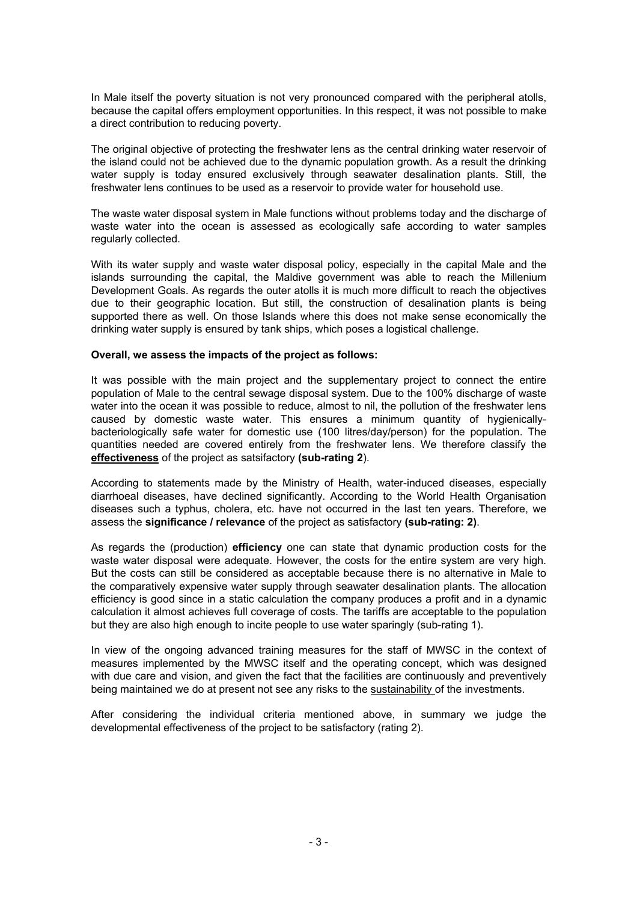In Male itself the poverty situation is not very pronounced compared with the peripheral atolls, because the capital offers employment opportunities. In this respect, it was not possible to make a direct contribution to reducing poverty.

The original objective of protecting the freshwater lens as the central drinking water reservoir of the island could not be achieved due to the dynamic population growth. As a result the drinking water supply is today ensured exclusively through seawater desalination plants. Still, the freshwater lens continues to be used as a reservoir to provide water for household use.

The waste water disposal system in Male functions without problems today and the discharge of waste water into the ocean is assessed as ecologically safe according to water samples regularly collected.

With its water supply and waste water disposal policy, especially in the capital Male and the islands surrounding the capital, the Maldive government was able to reach the Millenium Development Goals. As regards the outer atolls it is much more difficult to reach the objectives due to their geographic location. But still, the construction of desalination plants is being supported there as well. On those Islands where this does not make sense economically the drinking water supply is ensured by tank ships, which poses a logistical challenge.

### **Overall, we assess the impacts of the project as follows:**

It was possible with the main project and the supplementary project to connect the entire population of Male to the central sewage disposal system. Due to the 100% discharge of waste water into the ocean it was possible to reduce, almost to nil, the pollution of the freshwater lens caused by domestic waste water. This ensures a minimum quantity of hygienicallybacteriologically safe water for domestic use (100 litres/day/person) for the population. The quantities needed are covered entirely from the freshwater lens. We therefore classify the **effectiveness** of the project as satsifactory **(sub-rating 2**).

According to statements made by the Ministry of Health, water-induced diseases, especially diarrhoeal diseases, have declined significantly. According to the World Health Organisation diseases such a typhus, cholera, etc. have not occurred in the last ten years. Therefore, we assess the **significance / relevance** of the project as satisfactory **(sub-rating: 2)**.

As regards the (production) **efficiency** one can state that dynamic production costs for the waste water disposal were adequate. However, the costs for the entire system are very high. But the costs can still be considered as acceptable because there is no alternative in Male to the comparatively expensive water supply through seawater desalination plants. The allocation efficiency is good since in a static calculation the company produces a profit and in a dynamic calculation it almost achieves full coverage of costs. The tariffs are acceptable to the population but they are also high enough to incite people to use water sparingly (sub-rating 1).

In view of the ongoing advanced training measures for the staff of MWSC in the context of measures implemented by the MWSC itself and the operating concept, which was designed with due care and vision, and given the fact that the facilities are continuously and preventively being maintained we do at present not see any risks to the sustainability of the investments.

After considering the individual criteria mentioned above, in summary we judge the developmental effectiveness of the project to be satisfactory (rating 2).